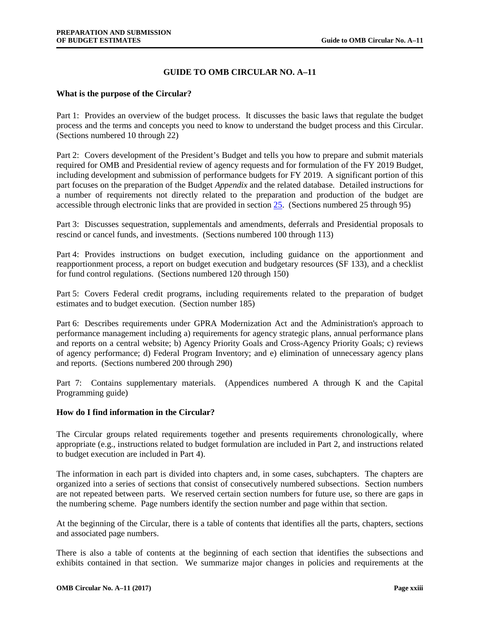# **GUIDE TO OMB CIRCULAR NO. A–11**

### **What is the purpose of the Circular?**

Part 1: Provides an overview of the budget process. It discusses the basic laws that regulate the budget process and the terms and concepts you need to know to understand the budget process and this Circular. (Sections numbered 10 through 22)

Part 2: Covers development of the President's Budget and tells you how to prepare and submit materials required for OMB and Presidential review of agency requests and for formulation of the FY 2019 Budget, including development and submission of performance budgets for FY 2019. A significant portion of this part focuses on the preparation of the Budget *Appendix* and the related database. Detailed instructions for a number of requirements not directly related to the preparation and production of the budget are accessible through electronic links that are provided in section 25. (Sections numbered 25 through 95)

Part 3: Discusses sequestration, supplementals and amendments, deferrals and Presidential proposals to rescind or cancel funds, and investments. (Sections numbered 100 through 113)

Part 4: Provides instructions on budget execution, including guidance on the apportionment and reapportionment process, a report on budget execution and budgetary resources (SF 133), and a checklist for fund control regulations. (Sections numbered 120 through 150)

Part 5: Covers Federal credit programs, including requirements related to the preparation of budget estimates and to budget execution. (Section number 185)

Part 6: Describes requirements under GPRA Modernization Act and the Administration's approach to performance management including a) requirements for agency strategic plans, annual performance plans and reports on a central website; b) Agency Priority Goals and Cross-Agency Priority Goals; c) reviews of agency performance; d) Federal Program Inventory; and e) elimination of unnecessary agency plans and reports. (Sections numbered 200 through 290)

Part 7: Contains supplementary materials. (Appendices numbered A through K and the Capital Programming guide)

#### **How do I find information in the Circular?**

The Circular groups related requirements together and presents requirements chronologically, where appropriate (e.g., instructions related to budget formulation are included in Part 2, and instructions related to budget execution are included in Part 4).

The information in each part is divided into chapters and, in some cases, subchapters. The chapters are organized into a series of sections that consist of consecutively numbered subsections. Section numbers are not repeated between parts. We reserved certain section numbers for future use, so there are gaps in the numbering scheme. Page numbers identify the section number and page within that section.

At the beginning of the Circular, there is a table of contents that identifies all the parts, chapters, sections and associated page numbers.

There is also a table of contents at the beginning of each section that identifies the subsections and exhibits contained in that section. We summarize major changes in policies and requirements at the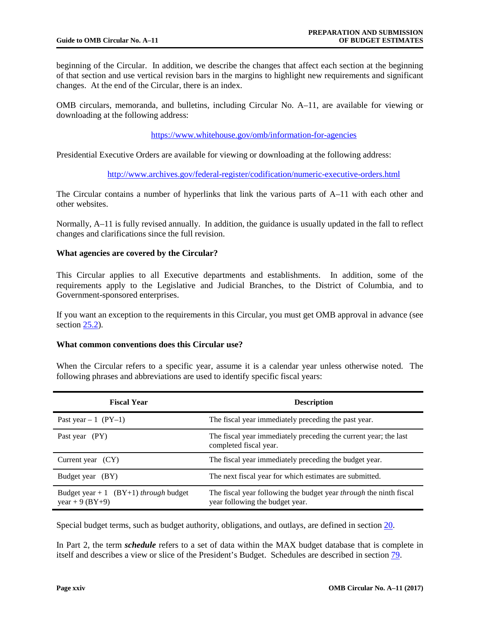beginning of the Circular. In addition, we describe the changes that affect each section at the beginning of that section and use vertical revision bars in the margins to highlight new requirements and significant changes. At the end of the Circular, there is an index.

OMB circulars, memoranda, and bulletins, including Circular No. A–11, are available for viewing or downloading at the following address:

<https://www.whitehouse.gov/omb/information-for-agencies>

Presidential Executive Orders are available for viewing or downloading at the following address:

<http://www.archives.gov/federal-register/codification/numeric-executive-orders.html>

The Circular contains a number of hyperlinks that link the various parts of A–11 with each other and other websites.

Normally, A–11 is fully revised annually. In addition, the guidance is usually updated in the fall to reflect changes and clarifications since the full revision.

#### **What agencies are covered by the Circular?**

This Circular applies to all Executive departments and establishments. In addition, some of the requirements apply to the Legislative and Judicial Branches, to the District of Columbia, and to Government-sponsored enterprises.

If you want an exception to the requirements in this Circular, you must get OMB approval in advance (see section 25.2).

## **What common conventions does this Circular use?**

When the Circular refers to a specific year, assume it is a calendar year unless otherwise noted. The following phrases and abbreviations are used to identify specific fiscal years:

| <b>Fiscal Year</b>                                           | <b>Description</b>                                                                                           |  |
|--------------------------------------------------------------|--------------------------------------------------------------------------------------------------------------|--|
| Past year $-1$ (PY-1)                                        | The fiscal year immediately preceding the past year.                                                         |  |
| Past year (PY)                                               | The fiscal year immediately preceding the current year; the last<br>completed fiscal year.                   |  |
| Current year $(CY)$                                          | The fiscal year immediately preceding the budget year.                                                       |  |
| Budget year (BY)                                             | The next fiscal year for which estimates are submitted.                                                      |  |
| Budget year + 1 $(BY+1)$ through budget<br>$year + 9 (BY+9)$ | The fiscal year following the budget year <i>through</i> the ninth fiscal<br>year following the budget year. |  |

Special budget terms, such as budget authority, obligations, and outlays, are defined in section 20.

In Part 2, the term *schedule* refers to a set of data within the MAX budget database that is complete in itself and describes a view or slice of the President's Budget. Schedules are described in section 79.